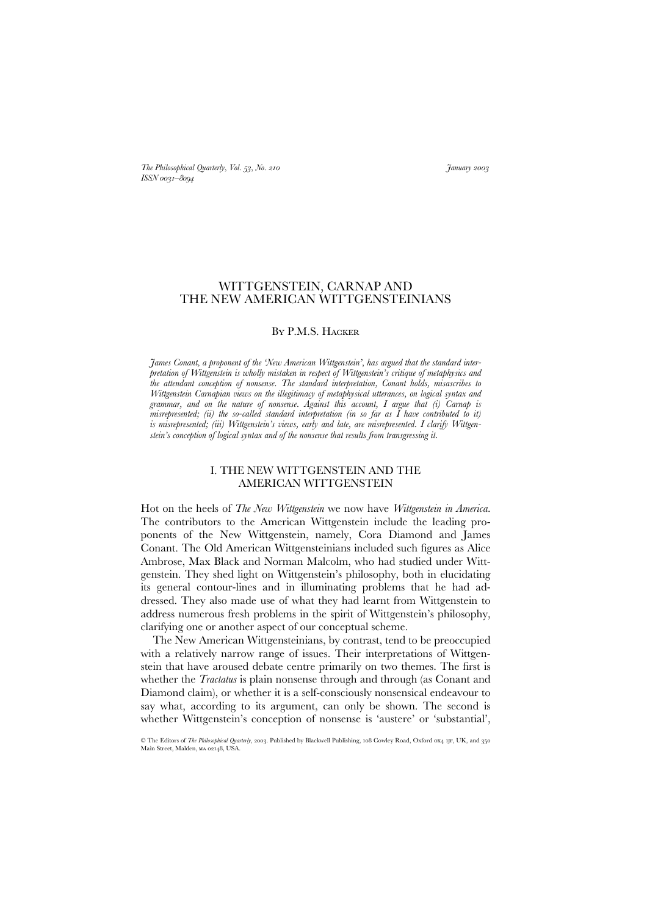# WITTGENSTEIN, CARNAP AND THE NEW AMERICAN WITTGENSTEINIANS

# BY P.M.S. HACKER

*James Conant, a proponent of the 'New American Wittgenstein', has argued that the standard interpretation of Wittgenstein is wholly mistaken in respect of Wittgenstein's critique of metaphysics and the attendant conception of nonsense. The standard interpretation, Conant holds, misascribes to Wittgenstein Carnapian views on the illegitimacy of metaphysical utterances, on logical syntax and grammar, and on the nature of nonsense. Against this account, I argue that (i) Carnap is misrepresented; (ii) the so-called standard interpretation (in so far as I have contributed to it) is misrepresented; (iii) Wittgenstein's views, early and late, are misrepresented. I clarify Wittgenstein's conception of logical syntax and of the nonsense that results from transgressing it.*

# I. THE NEW WITTGENSTEIN AND THE AMERICAN WITTGENSTEIN

Hot on the heels of *The New Wittgenstein* we now have *Wittgenstein in America.* The contributors to the American Wittgenstein include the leading proponents of the New Wittgenstein, namely, Cora Diamond and James Conant. The Old American Wittgensteinians included such figures as Alice Ambrose, Max Black and Norman Malcolm, who had studied under Wittgenstein. They shed light on Wittgenstein's philosophy, both in elucidating its general contour-lines and in illuminating problems that he had addressed. They also made use of what they had learnt from Wittgenstein to address numerous fresh problems in the spirit of Wittgenstein's philosophy, clarifying one or another aspect of our conceptual scheme.

The New American Wittgensteinians, by contrast, tend to be preoccupied with a relatively narrow range of issues. Their interpretations of Wittgenstein that have aroused debate centre primarily on two themes. The first is whether the *Tractatus* is plain nonsense through and through (as Conant and Diamond claim), or whether it is a self-consciously nonsensical endeavour to say what, according to its argument, can only be shown. The second is whether Wittgenstein's conception of nonsense is 'austere' or 'substantial',

<sup>©</sup> The Editors of *The Philosophical Quarterly*, 2003. Published by Blackwell Publishing, 108 Cowley Road, Oxford 0x4 1JF, UK, and 350 Main Street, Malden, MA 02148, USA.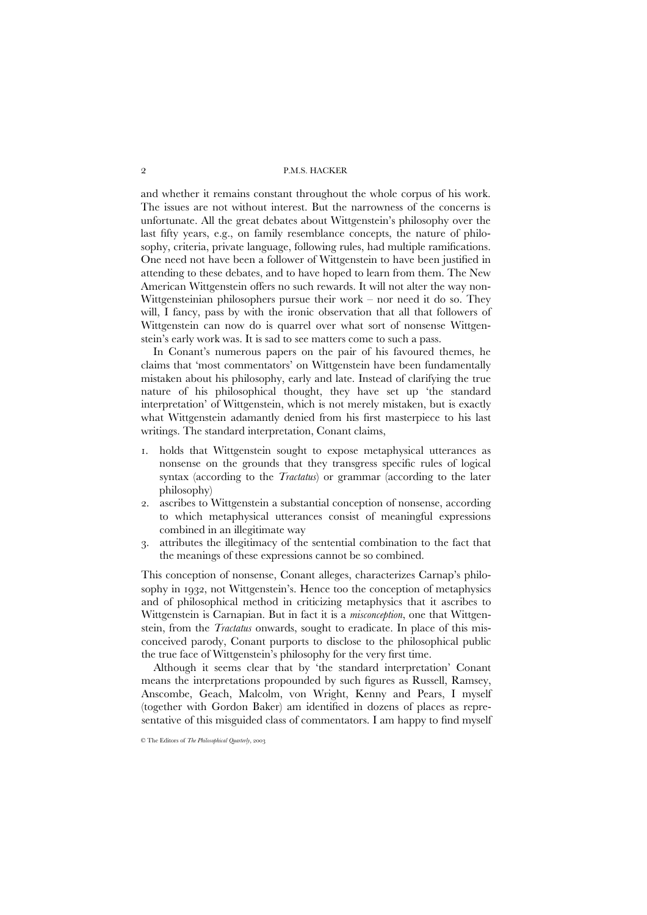and whether it remains constant throughout the whole corpus of his work. The issues are not without interest. But the narrowness of the concerns is unfortunate. All the great debates about Wittgenstein's philosophy over the last fifty years, e.g., on family resemblance concepts, the nature of philosophy, criteria, private language, following rules, had multiple ramifications. One need not have been a follower of Wittgenstein to have been justified in attending to these debates, and to have hoped to learn from them. The New American Wittgenstein offers no such rewards. It will not alter the way non-Wittgensteinian philosophers pursue their work – nor need it do so. They will, I fancy, pass by with the ironic observation that all that followers of Wittgenstein can now do is quarrel over what sort of nonsense Wittgenstein's early work was. It is sad to see matters come to such a pass.

In Conant's numerous papers on the pair of his favoured themes, he claims that 'most commentators' on Wittgenstein have been fundamentally mistaken about his philosophy, early and late. Instead of clarifying the true nature of his philosophical thought, they have set up 'the standard interpretation' of Wittgenstein, which is not merely mistaken, but is exactly what Wittgenstein adamantly denied from his first masterpiece to his last writings. The standard interpretation, Conant claims,

- . holds that Wittgenstein sought to expose metaphysical utterances as nonsense on the grounds that they transgress specific rules of logical syntax (according to the *Tractatus*) or grammar (according to the later philosophy)
- . ascribes to Wittgenstein a substantial conception of nonsense, according to which metaphysical utterances consist of meaningful expressions combined in an illegitimate way
- . attributes the illegitimacy of the sentential combination to the fact that the meanings of these expressions cannot be so combined.

This conception of nonsense, Conant alleges, characterizes Carnap's philosophy in 1932, not Wittgenstein's. Hence too the conception of metaphysics and of philosophical method in criticizing metaphysics that it ascribes to Wittgenstein is Carnapian. But in fact it is a *misconception*, one that Wittgenstein, from the *Tractatus* onwards, sought to eradicate. In place of this misconceived parody, Conant purports to disclose to the philosophical public the true face of Wittgenstein's philosophy for the very first time.

Although it seems clear that by 'the standard interpretation' Conant means the interpretations propounded by such figures as Russell, Ramsey, Anscombe, Geach, Malcolm, von Wright, Kenny and Pears, I myself (together with Gordon Baker) am identified in dozens of places as representative of this misguided class of commentators. I am happy to find myself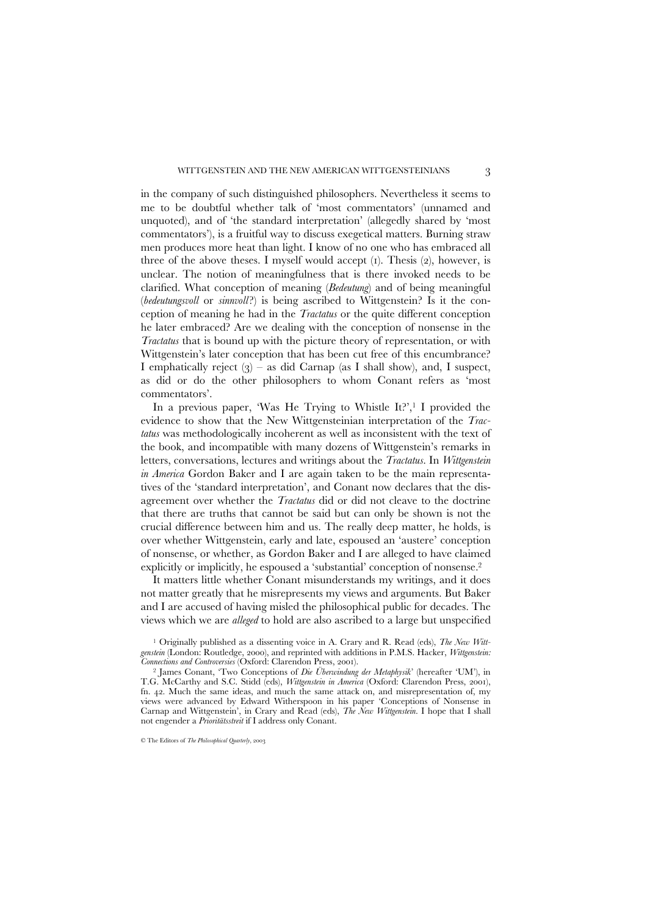in the company of such distinguished philosophers. Nevertheless it seems to me to be doubtful whether talk of 'most commentators' (unnamed and unquoted), and of 'the standard interpretation' (allegedly shared by 'most commentators'), is a fruitful way to discuss exegetical matters. Burning straw men produces more heat than light. I know of no one who has embraced all three of the above theses. I myself would accept  $(I)$ . Thesis  $(2)$ , however, is unclear. The notion of meaningfulness that is there invoked needs to be clarified. What conception of meaning (*Bedeutung*) and of being meaningful (*bedeutungsvoll* or *sinnvoll*?) is being ascribed to Wittgenstein? Is it the conception of meaning he had in the *Tractatus* or the quite different conception he later embraced? Are we dealing with the conception of nonsense in the *Tractatus* that is bound up with the picture theory of representation, or with Wittgenstein's later conception that has been cut free of this encumbrance? I emphatically reject  $(3)$  – as did Carnap (as I shall show), and, I suspect, as did or do the other philosophers to whom Conant refers as 'most commentators'.

In a previous paper, 'Was He Trying to Whistle It?',<sup>1</sup> I provided the evidence to show that the New Wittgensteinian interpretation of the *Tractatus* was methodologically incoherent as well as inconsistent with the text of the book, and incompatible with many dozens of Wittgenstein's remarks in letters, conversations, lectures and writings about the *Tractatus*. In *Wittgenstein in America* Gordon Baker and I are again taken to be the main representatives of the 'standard interpretation', and Conant now declares that the disagreement over whether the *Tractatus* did or did not cleave to the doctrine that there are truths that cannot be said but can only be shown is not the crucial difference between him and us. The really deep matter, he holds, is over whether Wittgenstein, early and late, espoused an 'austere' conception of nonsense, or whether, as Gordon Baker and I are alleged to have claimed explicitly or implicitly, he espoused a 'substantial' conception of nonsense. 2

It matters little whether Conant misunderstands my writings, and it does not matter greatly that he misrepresents my views and arguments. But Baker and I are accused of having misled the philosophical public for decades. The views which we are *alleged* to hold are also ascribed to a large but unspecified

<sup>1</sup> Originally published as a dissenting voice in A. Crary and R. Read (eds), *The New Wittgenstein* (London: Routledge, 2000), and reprinted with additions in P.M.S. Hacker, *Wittgenstein: Connections and Controversies* (Oxford: Clarendon Press, 2001).

<sup>2</sup> James Conant, 'Two Conceptions of *Die Überwindung der Metaphysik*' (hereafter 'UM'), in T.G. McCarthy and S.C. Stidd (eds), *Wittgenstein in America* (Oxford: Clarendon Press, 2001), fn.  $42$ . Much the same ideas, and much the same attack on, and misrepresentation of, my views were advanced by Edward Witherspoon in his paper 'Conceptions of Nonsense in Carnap and Wittgenstein', in Crary and Read (eds), *The New Wittgenstein*. I hope that I shall not engender a *Prioritätsstreit* if I address only Conant.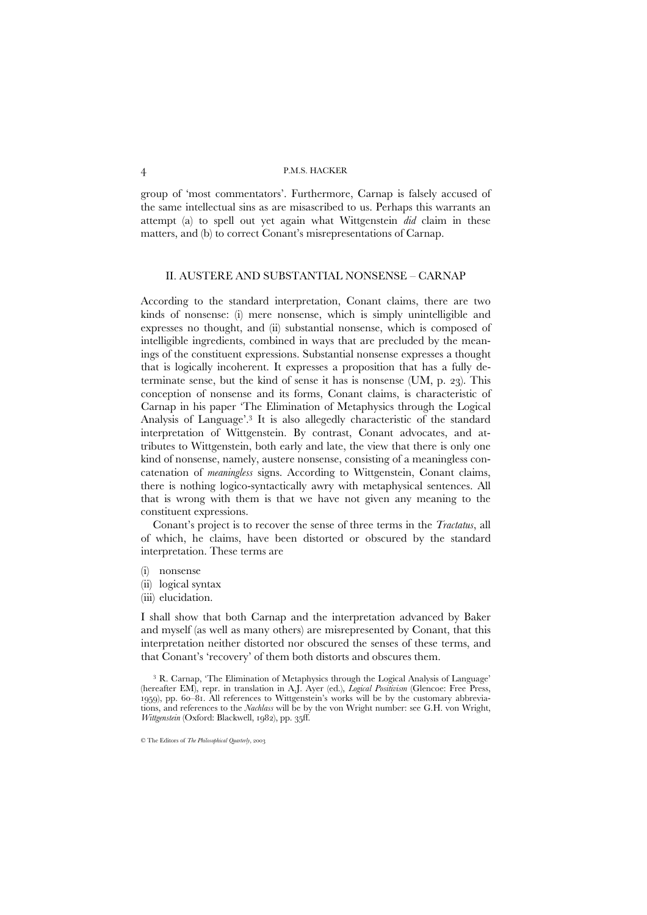group of 'most commentators'. Furthermore, Carnap is falsely accused of the same intellectual sins as are misascribed to us. Perhaps this warrants an attempt (a) to spell out yet again what Wittgenstein *did* claim in these matters, and (b) to correct Conant's misrepresentations of Carnap.

## II. AUSTERE AND SUBSTANTIAL NONSENSE – CARNAP

According to the standard interpretation, Conant claims, there are two kinds of nonsense: (i) mere nonsense, which is simply unintelligible and expresses no thought, and (ii) substantial nonsense, which is composed of intelligible ingredients, combined in ways that are precluded by the meanings of the constituent expressions. Substantial nonsense expresses a thought that is logically incoherent. It expresses a proposition that has a fully determinate sense, but the kind of sense it has is nonsense  $(UM, p. 23)$ . This conception of nonsense and its forms, Conant claims, is characteristic of Carnap in his paper 'The Elimination of Metaphysics through the Logical Analysis of Language'. <sup>3</sup> It is also allegedly characteristic of the standard interpretation of Wittgenstein. By contrast, Conant advocates, and attributes to Wittgenstein, both early and late, the view that there is only one kind of nonsense, namely, austere nonsense, consisting of a meaningless concatenation of *meaningless* signs. According to Wittgenstein, Conant claims, there is nothing logico-syntactically awry with metaphysical sentences. All that is wrong with them is that we have not given any meaning to the constituent expressions.

Conant's project is to recover the sense of three terms in the *Tractatus*, all of which, he claims, have been distorted or obscured by the standard interpretation. These terms are

- (i) nonsense
- (ii) logical syntax
- (iii) elucidation.

I shall show that both Carnap and the interpretation advanced by Baker and myself (as well as many others) are misrepresented by Conant, that this interpretation neither distorted nor obscured the senses of these terms, and that Conant's 'recovery' of them both distorts and obscures them.

<sup>3</sup> R. Carnap, 'The Elimination of Metaphysics through the Logical Analysis of Language' (hereafter EM), repr. in translation in A.J. Ayer (ed.), *Logical Positivism* (Glencoe: Free Press,  $\alpha$ <sub>1959</sub>), pp. 60–81. All references to Wittgenstein's works will be by the customary abbreviations, and references to the *Nachlass* will be by the von Wright number: see G.H. von Wright, *Wittgenstein* (Oxford: Blackwell, 1982), pp. 35ff.

<sup>©</sup> The Editors of *The Philosophical Quarterly*,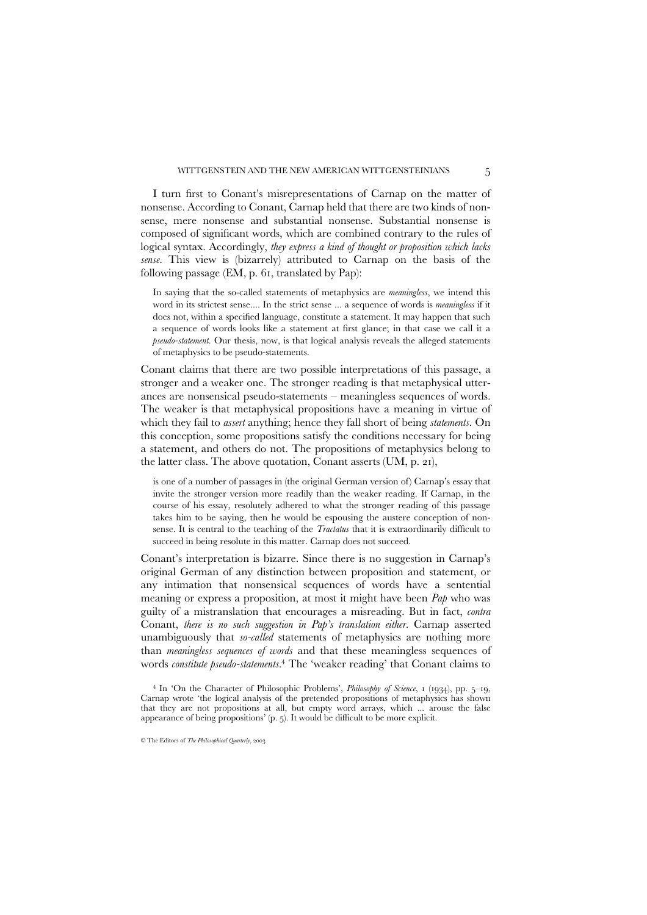I turn first to Conant's misrepresentations of Carnap on the matter of nonsense. According to Conant, Carnap held that there are two kinds of nonsense, mere nonsense and substantial nonsense. Substantial nonsense is composed of significant words, which are combined contrary to the rules of logical syntax. Accordingly, *they express a kind of thought or proposition which lacks sense*. This view is (bizarrely) attributed to Carnap on the basis of the following passage  $(EM, p. 6I, translated by Pap)$ :

In saying that the so-called statements of metaphysics are *meaningless*, we intend this word in its strictest sense.... In the strict sense ... a sequence of words is *meaningless* if it does not, within a specified language, constitute a statement. It may happen that such a sequence of words looks like a statement at first glance; in that case we call it a *pseudo-statement*. Our thesis, now, is that logical analysis reveals the alleged statements of metaphysics to be pseudo-statements.

Conant claims that there are two possible interpretations of this passage, a stronger and a weaker one. The stronger reading is that metaphysical utterances are nonsensical pseudo-statements – meaningless sequences of words. The weaker is that metaphysical propositions have a meaning in virtue of which they fail to *assert* anything; hence they fall short of being *statements*. On this conception, some propositions satisfy the conditions necessary for being a statement, and others do not. The propositions of metaphysics belong to the latter class. The above quotation, Conant asserts  $(UM, p. 21)$ ,

is one of a number of passages in (the original German version of) Carnap's essay that invite the stronger version more readily than the weaker reading. If Carnap, in the course of his essay, resolutely adhered to what the stronger reading of this passage takes him to be saying, then he would be espousing the austere conception of nonsense. It is central to the teaching of the *Tractatus* that it is extraordinarily difficult to succeed in being resolute in this matter. Carnap does not succeed.

Conant's interpretation is bizarre. Since there is no suggestion in Carnap's original German of any distinction between proposition and statement, or any intimation that nonsensical sequences of words have a sentential meaning or express a proposition, at most it might have been *Pap* who was guilty of a mistranslation that encourages a misreading. But in fact, *contra* Conant, *there is no such suggestion in Pap's translation either*. Carnap asserted unambiguously that *so-called* statements of metaphysics are nothing more than *meaningless sequences of words* and that these meaningless sequences of words *constitute pseudo-statements*. <sup>4</sup> The 'weaker reading' that Conant claims to

<sup>&</sup>lt;sup>4</sup> In 'On the Character of Philosophic Problems', *Philosophy of Science*, 1 (1934), pp. 5-19, Carnap wrote 'the logical analysis of the pretended propositions of metaphysics has shown that they are not propositions at all, but empty word arrays, which ... arouse the false appearance of being propositions' (p. ). It would be difficult to be more explicit.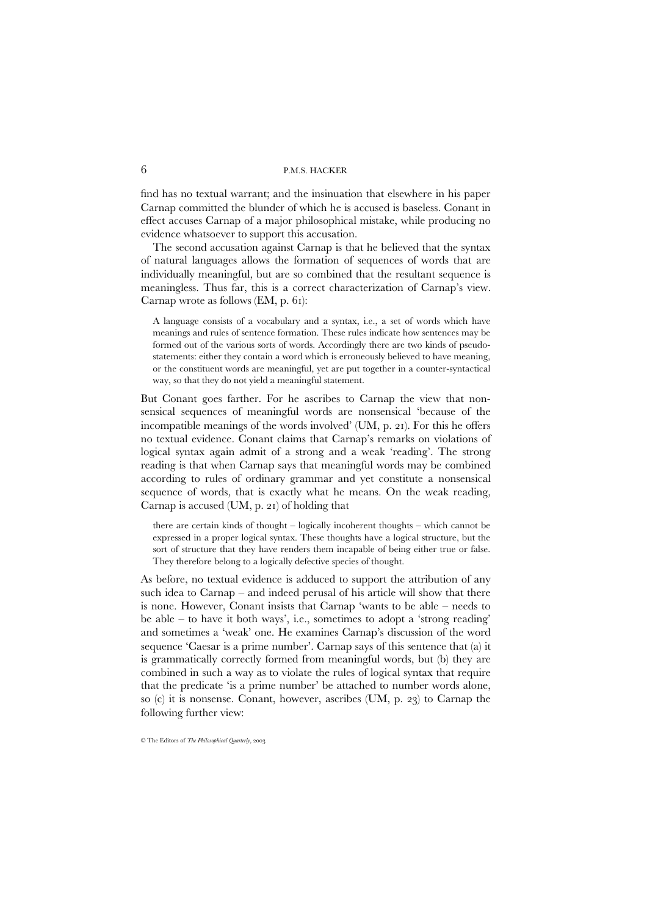find has no textual warrant; and the insinuation that elsewhere in his paper Carnap committed the blunder of which he is accused is baseless. Conant in effect accuses Carnap of a major philosophical mistake, while producing no evidence whatsoever to support this accusation.

The second accusation against Carnap is that he believed that the syntax of natural languages allows the formation of sequences of words that are individually meaningful, but are so combined that the resultant sequence is meaningless. Thus far, this is a correct characterization of Carnap's view. Carnap wrote as follows  $(EM, p. 6)$ :

A language consists of a vocabulary and a syntax, i.e., a set of words which have meanings and rules of sentence formation. These rules indicate how sentences may be formed out of the various sorts of words. Accordingly there are two kinds of pseudostatements: either they contain a word which is erroneously believed to have meaning, or the constituent words are meaningful, yet are put together in a counter-syntactical way, so that they do not yield a meaningful statement.

But Conant goes farther. For he ascribes to Carnap the view that nonsensical sequences of meaningful words are nonsensical 'because of the incompatible meanings of the words involved' (UM, p. 21). For this he offers no textual evidence. Conant claims that Carnap's remarks on violations of logical syntax again admit of a strong and a weak 'reading'. The strong reading is that when Carnap says that meaningful words may be combined according to rules of ordinary grammar and yet constitute a nonsensical sequence of words, that is exactly what he means. On the weak reading, Carnap is accused  $(UM, p. 2I)$  of holding that

there are certain kinds of thought – logically incoherent thoughts – which cannot be expressed in a proper logical syntax. These thoughts have a logical structure, but the sort of structure that they have renders them incapable of being either true or false. They therefore belong to a logically defective species of thought.

As before, no textual evidence is adduced to support the attribution of any such idea to Carnap – and indeed perusal of his article will show that there is none. However, Conant insists that Carnap 'wants to be able – needs to be able – to have it both ways', i.e., sometimes to adopt a 'strong reading' and sometimes a 'weak' one. He examines Carnap's discussion of the word sequence 'Caesar is a prime number'. Carnap says of this sentence that (a) it is grammatically correctly formed from meaningful words, but (b) they are combined in such a way as to violate the rules of logical syntax that require that the predicate 'is a prime number' be attached to number words alone, so  $(c)$  it is nonsense. Conant, however, ascribes  $(UM, p. 23)$  to Carnap the following further view: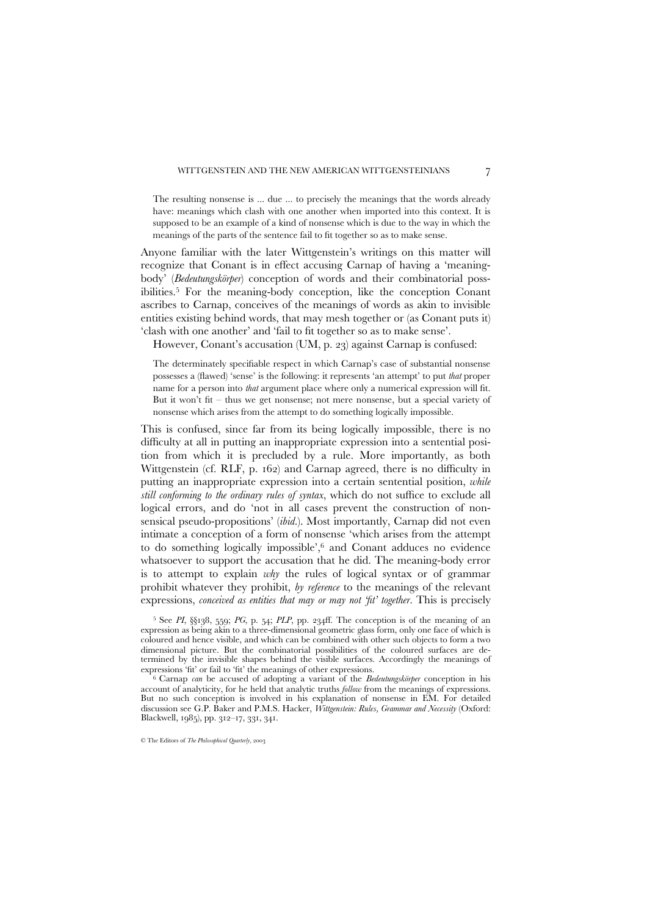The resulting nonsense is ... due ... to precisely the meanings that the words already have: meanings which clash with one another when imported into this context. It is supposed to be an example of a kind of nonsense which is due to the way in which the meanings of the parts of the sentence fail to fit together so as to make sense.

Anyone familiar with the later Wittgenstein's writings on this matter will recognize that Conant is in effect accusing Carnap of having a 'meaningbody' (*Bedeutungskörper*) conception of words and their combinatorial possibilities.5 For the meaning-body conception, like the conception Conant ascribes to Carnap, conceives of the meanings of words as akin to invisible entities existing behind words, that may mesh together or (as Conant puts it) 'clash with one another' and 'fail to fit together so as to make sense'.

However, Conant's accusation (UM, p. 23) against Carnap is confused:

The determinately specifiable respect in which Carnap's case of substantial nonsense possesses a (flawed) 'sense' is the following: it represents 'an attempt' to put *that* proper name for a person into *that* argument place where only a numerical expression will fit. But it won't fit – thus we get nonsense; not mere nonsense, but a special variety of nonsense which arises from the attempt to do something logically impossible.

This is confused, since far from its being logically impossible, there is no difficulty at all in putting an inappropriate expression into a sentential position from which it is precluded by a rule. More importantly, as both Wittgenstein (cf. RLF, p.  $162$ ) and Carnap agreed, there is no difficulty in putting an inappropriate expression into a certain sentential position, *while still conforming to the ordinary rules of syntax*, which do not suffice to exclude all logical errors, and do 'not in all cases prevent the construction of nonsensical pseudo-propositions' (*ibid*.). Most importantly, Carnap did not even intimate a conception of a form of nonsense 'which arises from the attempt to do something logically impossible',6 and Conant adduces no evidence whatsoever to support the accusation that he did. The meaning-body error is to attempt to explain *why* the rules of logical syntax or of grammar prohibit whatever they prohibit, *by reference* to the meanings of the relevant expressions, *conceived as entities that may or may not 'fit' together*. This is precisely

<sup>5</sup> See *PI*, §§138, 559; *PG*, p. 54; *PLP*, pp. 234ff. The conception is of the meaning of an expression as being akin to a three-dimensional geometric glass form, only one face of which is coloured and hence visible, and which can be combined with other such objects to form a two dimensional picture. But the combinatorial possibilities of the coloured surfaces are determined by the invisible shapes behind the visible surfaces. Accordingly the meanings of expressions 'fit' or fail to 'fit' the meanings of other expressions.

<sup>6</sup> Carnap *can* be accused of adopting a variant of the *Bedeutungskörper* conception in his account of analyticity, for he held that analytic truths *follow* from the meanings of expressions. But no such conception is involved in his explanation of nonsense in EM. For detailed discussion see G.P. Baker and P.M.S. Hacker, *Wittgenstein: Rules, Grammar and Necessity* (Oxford: Blackwell,  $1985$ , pp.  $312-17$ ,  $331$ ,  $341$ .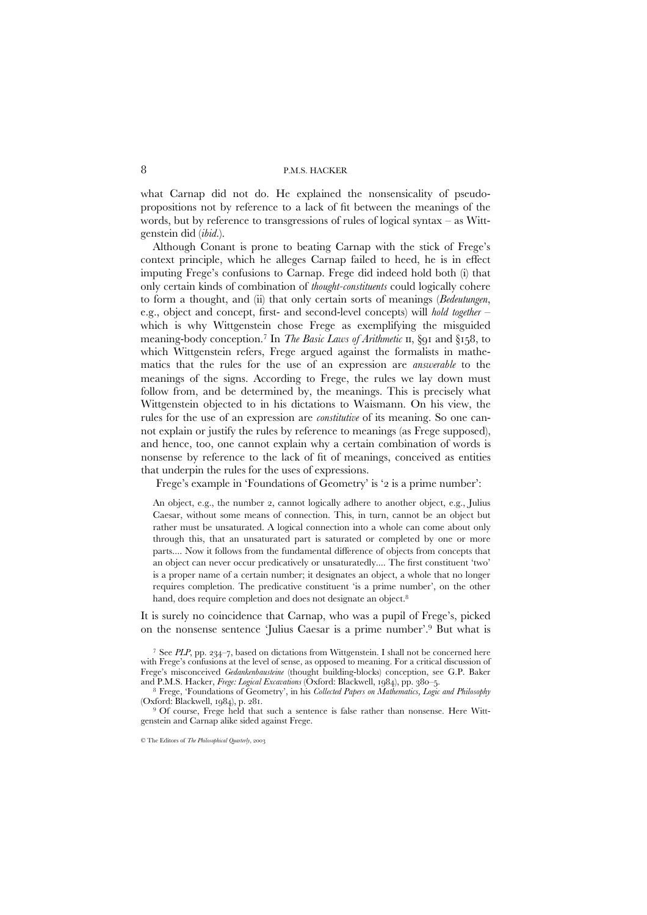what Carnap did not do. He explained the nonsensicality of pseudopropositions not by reference to a lack of fit between the meanings of the words, but by reference to transgressions of rules of logical syntax – as Wittgenstein did (*ibid*.).

Although Conant is prone to beating Carnap with the stick of Frege's context principle, which he alleges Carnap failed to heed, he is in effect imputing Frege's confusions to Carnap. Frege did indeed hold both (i) that only certain kinds of combination of *thought-constituents* could logically cohere to form a thought, and (ii) that only certain sorts of meanings (*Bedeutungen*, e.g., object and concept, first- and second-level concepts) will *hold together* – which is why Wittgenstein chose Frege as exemplifying the misguided meaning-body conception.<sup>7</sup> In *The Basic Laws of Arithmetic* II, §91 and §158, to which Wittgenstein refers, Frege argued against the formalists in mathematics that the rules for the use of an expression are *answerable* to the meanings of the signs. According to Frege, the rules we lay down must follow from, and be determined by, the meanings. This is precisely what Wittgenstein objected to in his dictations to Waismann. On his view, the rules for the use of an expression are *constitutive* of its meaning. So one cannot explain or justify the rules by reference to meanings (as Frege supposed), and hence, too, one cannot explain why a certain combination of words is nonsense by reference to the lack of fit of meanings, conceived as entities that underpin the rules for the uses of expressions.

Frege's example in 'Foundations of Geometry' is '2 is a prime number':

An object, e.g., the number 2, cannot logically adhere to another object, e.g., Julius Caesar, without some means of connection. This, in turn, cannot be an object but rather must be unsaturated. A logical connection into a whole can come about only through this, that an unsaturated part is saturated or completed by one or more parts.... Now it follows from the fundamental difference of objects from concepts that an object can never occur predicatively or unsaturatedly.... The first constituent 'two' is a proper name of a certain number; it designates an object, a whole that no longer requires completion. The predicative constituent 'is a prime number', on the other hand, does require completion and does not designate an object.<sup>8</sup>

It is surely no coincidence that Carnap, who was a pupil of Frege's, picked on the nonsense sentence 'Julius Caesar is a prime number'.9 But what is

<sup>7</sup> See *PLP*, pp. 234-7, based on dictations from Wittgenstein. I shall not be concerned here with Frege's confusions at the level of sense, as opposed to meaning. For a critical discussion of Frege's misconceived *Gedankenbausteine* (thought building-blocks) conception, see G.P. Baker and P.M.S. Hacker, *Frege: Logical Excavations* (Oxford: Blackwell, 1984), pp. 380-5.

<sup>9</sup> Of course, Frege held that such a sentence is false rather than nonsense. Here Wittgenstein and Carnap alike sided against Frege.

<sup>8</sup> Frege, 'Foundations of Geometry', in his *Collected Papers on Mathematics, Logic and Philosophy* (Oxford: Blackwell, 1984), p. 281.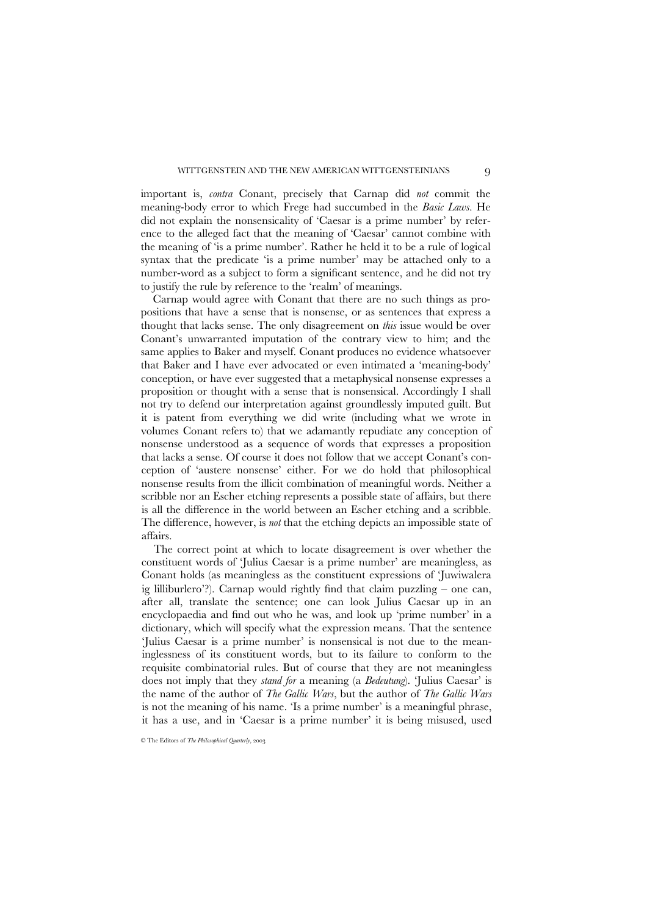important is, *contra* Conant, precisely that Carnap did *not* commit the meaning-body error to which Frege had succumbed in the *Basic Laws*. He did not explain the nonsensicality of 'Caesar is a prime number' by reference to the alleged fact that the meaning of 'Caesar' cannot combine with the meaning of 'is a prime number'. Rather he held it to be a rule of logical syntax that the predicate 'is a prime number' may be attached only to a number-word as a subject to form a significant sentence, and he did not try to justify the rule by reference to the 'realm' of meanings.

Carnap would agree with Conant that there are no such things as propositions that have a sense that is nonsense, or as sentences that express a thought that lacks sense. The only disagreement on *this* issue would be over Conant's unwarranted imputation of the contrary view to him; and the same applies to Baker and myself. Conant produces no evidence whatsoever that Baker and I have ever advocated or even intimated a 'meaning-body' conception, or have ever suggested that a metaphysical nonsense expresses a proposition or thought with a sense that is nonsensical. Accordingly I shall not try to defend our interpretation against groundlessly imputed guilt. But it is patent from everything we did write (including what we wrote in volumes Conant refers to) that we adamantly repudiate any conception of nonsense understood as a sequence of words that expresses a proposition that lacks a sense. Of course it does not follow that we accept Conant's conception of 'austere nonsense' either. For we do hold that philosophical nonsense results from the illicit combination of meaningful words. Neither a scribble nor an Escher etching represents a possible state of affairs, but there is all the difference in the world between an Escher etching and a scribble. The difference, however, is *not* that the etching depicts an impossible state of affairs.

The correct point at which to locate disagreement is over whether the constituent words of 'Julius Caesar is a prime number' are meaningless, as Conant holds (as meaningless as the constituent expressions of 'Juwiwalera ig lilliburlero'?). Carnap would rightly find that claim puzzling – one can, after all, translate the sentence; one can look Julius Caesar up in an encyclopaedia and find out who he was, and look up 'prime number' in a dictionary, which will specify what the expression means. That the sentence 'Julius Caesar is a prime number' is nonsensical is not due to the meaninglessness of its constituent words, but to its failure to conform to the requisite combinatorial rules. But of course that they are not meaningless does not imply that they *stand for* a meaning (a *Bedeutung*). 'Julius Caesar' is the name of the author of *The Gallic Wars*, but the author of *The Gallic Wars* is not the meaning of his name. 'Is a prime number' is a meaningful phrase, it has a use, and in 'Caesar is a prime number' it is being misused, used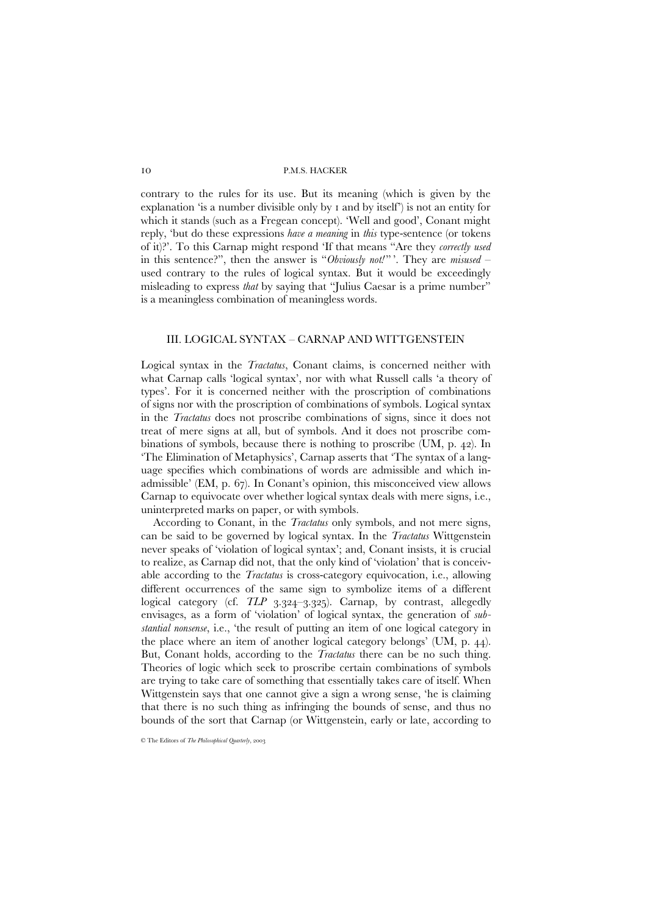contrary to the rules for its use. But its meaning (which is given by the explanation 'is a number divisible only by I and by itself') is not an entity for which it stands (such as a Fregean concept). 'Well and good', Conant might reply, 'but do these expressions *have a meaning* in *this* type-sentence (or tokens of it)?'. To this Carnap might respond 'If that means "Are they *correctly used* in this sentence?", then the answer is "*Obviously not!* " '. They are *misused* – used contrary to the rules of logical syntax. But it would be exceedingly misleading to express *that* by saying that "Julius Caesar is a prime number" is a meaningless combination of meaningless words.

# III. LOGICAL SYNTAX – CARNAP AND WITTGENSTEIN

Logical syntax in the *Tractatus*, Conant claims, is concerned neither with what Carnap calls 'logical syntax', nor with what Russell calls 'a theory of types'. For it is concerned neither with the proscription of combinations of signs nor with the proscription of combinations of symbols. Logical syntax in the *Tractatus* does not proscribe combinations of signs, since it does not treat of mere signs at all, but of symbols. And it does not proscribe combinations of symbols, because there is nothing to proscribe  $(UM, p. 42)$ . In 'The Elimination of Metaphysics', Carnap asserts that 'The syntax of a language specifies which combinations of words are admissible and which inadmissible' (EM, p. 67). In Conant's opinion, this misconceived view allows Carnap to equivocate over whether logical syntax deals with mere signs, i.e., uninterpreted marks on paper, or with symbols.

According to Conant, in the *Tractatus* only symbols, and not mere signs, can be said to be governed by logical syntax. In the *Tractatus* Wittgenstein never speaks of 'violation of logical syntax'; and, Conant insists, it is crucial to realize, as Carnap did not, that the only kind of 'violation' that is conceivable according to the *Tractatus* is cross-category equivocation, i.e., allowing different occurrences of the same sign to symbolize items of a different logical category (cf. *TLP* 3.324-3.325). Carnap, by contrast, allegedly envisages, as a form of 'violation' of logical syntax, the generation of *substantial nonsense*, i.e., 'the result of putting an item of one logical category in the place where an item of another logical category belongs'  $(UM, p. 44)$ . But, Conant holds, according to the *Tractatus* there can be no such thing. Theories of logic which seek to proscribe certain combinations of symbols are trying to take care of something that essentially takes care of itself. When Wittgenstein says that one cannot give a sign a wrong sense, 'he is claiming that there is no such thing as infringing the bounds of sense, and thus no bounds of the sort that Carnap (or Wittgenstein, early or late, according to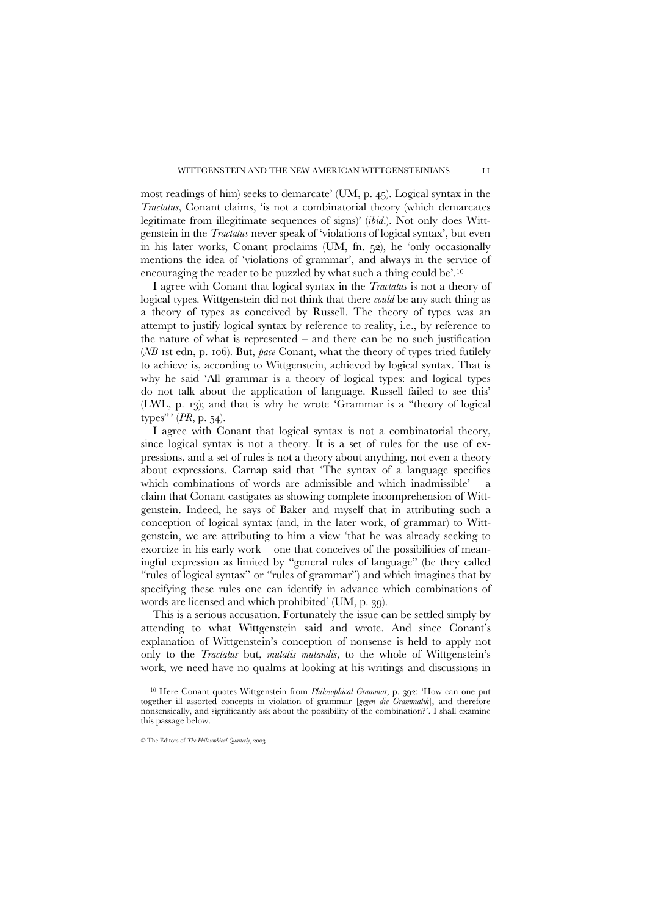most readings of him) seeks to demarcate'  $(UM, p. 45)$ . Logical syntax in the *Tractatus*, Conant claims, 'is not a combinatorial theory (which demarcates legitimate from illegitimate sequences of signs)' (*ibid*.). Not only does Wittgenstein in the *Tractatus* never speak of 'violations of logical syntax', but even in his later works, Conant proclaims (UM, fn.  $52$ ), he 'only occasionally mentions the idea of 'violations of grammar', and always in the service of encouraging the reader to be puzzled by what such a thing could be'.10

I agree with Conant that logical syntax in the *Tractatus* is not a theory of logical types. Wittgenstein did not think that there *could* be any such thing as a theory of types as conceived by Russell. The theory of types was an attempt to justify logical syntax by reference to reality, i.e., by reference to the nature of what is represented – and there can be no such justification (*NB* ist edn, p. 106). But, *pace* Conant, what the theory of types tried futilely to achieve is, according to Wittgenstein, achieved by logical syntax. That is why he said 'All grammar is a theory of logical types: and logical types do not talk about the application of language. Russell failed to see this' (LWL, p. 13); and that is why he wrote 'Grammar is a "theory of logical types"' (*PR*, p. 54).

I agree with Conant that logical syntax is not a combinatorial theory, since logical syntax is not a theory. It is a set of rules for the use of expressions, and a set of rules is not a theory about anything, not even a theory about expressions. Carnap said that 'The syntax of a language specifies which combinations of words are admissible and which inadmissible' – a claim that Conant castigates as showing complete incomprehension of Wittgenstein. Indeed, he says of Baker and myself that in attributing such a conception of logical syntax (and, in the later work, of grammar) to Wittgenstein, we are attributing to him a view 'that he was already seeking to exorcize in his early work – one that conceives of the possibilities of meaningful expression as limited by "general rules of language" (be they called "rules of logical syntax" or "rules of grammar") and which imagines that by specifying these rules one can identify in advance which combinations of words are licensed and which prohibited' (UM, p. 39).

This is a serious accusation. Fortunately the issue can be settled simply by attending to what Wittgenstein said and wrote. And since Conant's explanation of Wittgenstein's conception of nonsense is held to apply not only to the *Tractatus* but, *mutatis mutandis*, to the whole of Wittgenstein's work, we need have no qualms at looking at his writings and discussions in

<sup>&</sup>lt;sup>10</sup> Here Conant quotes Wittgenstein from *Philosophical Grammar*, p. 392: 'How can one put together ill assorted concepts in violation of grammar [*gegen die Grammatik*], and therefore nonsensically, and significantly ask about the possibility of the combination?'. I shall examine this passage below.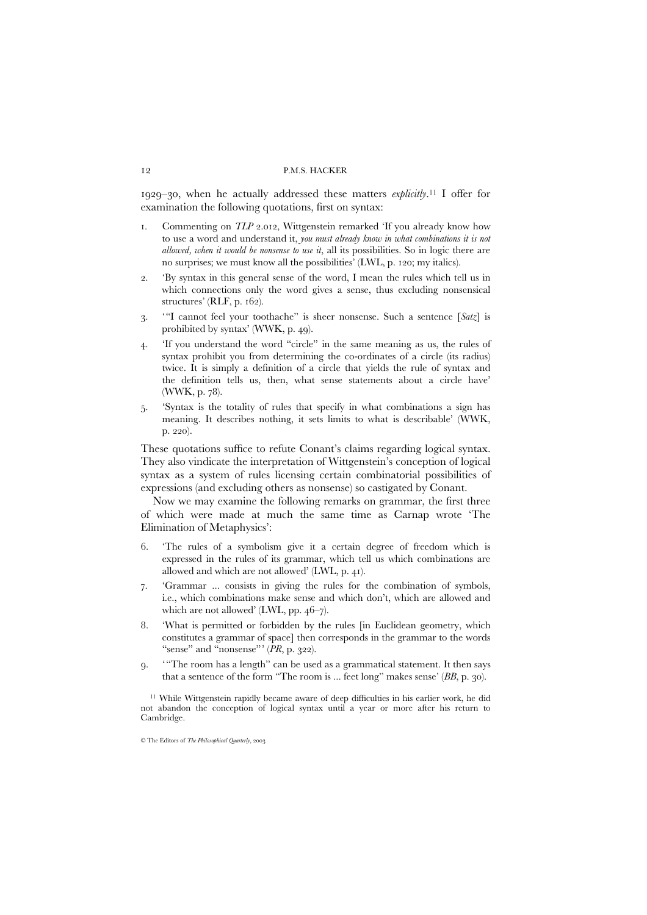–, when he actually addressed these matters *explicitly*.11 I offer for examination the following quotations, first on syntax:

- 1. Commenting on *TLP* 2.012, Wittgenstein remarked 'If you already know how to use a word and understand it, *you must already know in what combinations it is not allowed, when it would be nonsense to use it*, all its possibilities. So in logic there are no surprises; we must know all the possibilities' (LWL, p. 120; my italics).
- . 'By syntax in this general sense of the word, I mean the rules which tell us in which connections only the word gives a sense, thus excluding nonsensical structures' (RLF, p.  $162$ ).
- . '"I cannot feel your toothache" is sheer nonsense. Such a sentence [*Satz*] is prohibited by syntax' (WWK, p.  $49$ ).
- . 'If you understand the word "circle" in the same meaning as us, the rules of syntax prohibit you from determining the co-ordinates of a circle (its radius) twice. It is simply a definition of a circle that yields the rule of syntax and the definition tells us, then, what sense statements about a circle have' (WWK, p. 78).
- . 'Syntax is the totality of rules that specify in what combinations a sign has meaning. It describes nothing, it sets limits to what is describable' (WWK, p. 220).

These quotations suffice to refute Conant's claims regarding logical syntax. They also vindicate the interpretation of Wittgenstein's conception of logical syntax as a system of rules licensing certain combinatorial possibilities of expressions (and excluding others as nonsense) so castigated by Conant.

Now we may examine the following remarks on grammar, the first three of which were made at much the same time as Carnap wrote 'The Elimination of Metaphysics':

- . 'The rules of a symbolism give it a certain degree of freedom which is expressed in the rules of its grammar, which tell us which combinations are allowed and which are not allowed' (LWL, p. 41).
- . 'Grammar ... consists in giving the rules for the combination of symbols, i.e., which combinations make sense and which don't, which are allowed and which are not allowed' (LWL, pp.  $46-7$ ).
- . 'What is permitted or forbidden by the rules [in Euclidean geometry, which constitutes a grammar of space] then corresponds in the grammar to the words "sense" and "nonsense"' (PR, p. 322).
- . '"The room has a length" can be used as a grammatical statement. It then says that a sentence of the form "The room is ... feet long" makes sense'  $(BB, p. 30)$ .

<sup>11</sup> While Wittgenstein rapidly became aware of deep difficulties in his earlier work, he did not abandon the conception of logical syntax until a year or more after his return to Cambridge.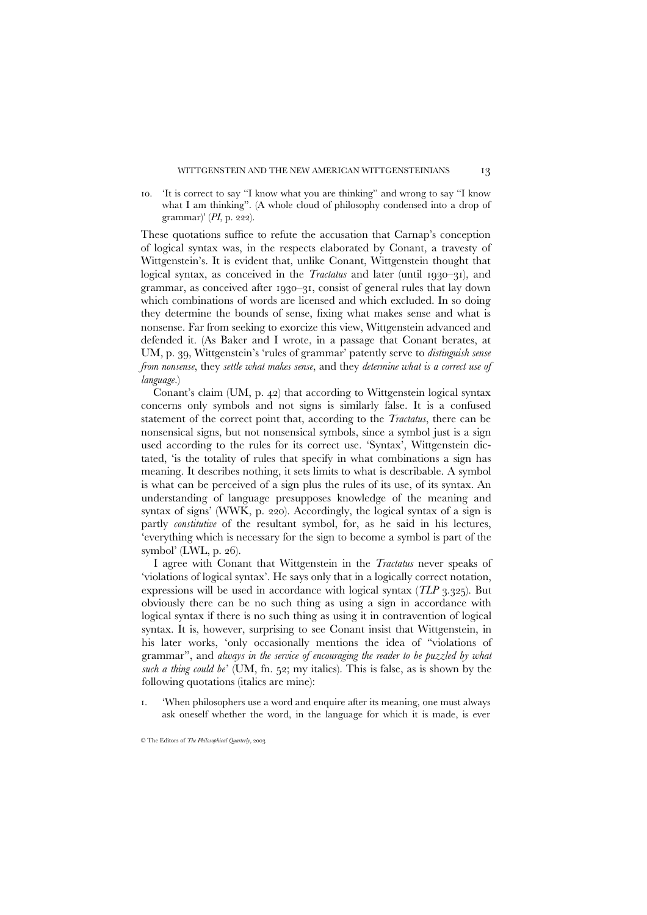. 'It is correct to say "I know what you are thinking" and wrong to say "I know what I am thinking". (A whole cloud of philosophy condensed into a drop of grammar)' (*PI*, p. 222).

These quotations suffice to refute the accusation that Carnap's conception of logical syntax was, in the respects elaborated by Conant, a travesty of Wittgenstein's. It is evident that, unlike Conant, Wittgenstein thought that logical syntax, as conceived in the *Tractatus* and later (until 1930–31), and grammar, as conceived after 1930-31, consist of general rules that lay down which combinations of words are licensed and which excluded. In so doing they determine the bounds of sense, fixing what makes sense and what is nonsense. Far from seeking to exorcize this view, Wittgenstein advanced and defended it. (As Baker and I wrote, in a passage that Conant berates, at UM, p. 39, Wittgenstein's 'rules of grammar' patently serve to *distinguish sense from nonsense*, they *settle what makes sense*, and they *determine what is a correct use of language*.)

Conant's claim (UM, p. 42) that according to Wittgenstein logical syntax concerns only symbols and not signs is similarly false. It is a confused statement of the correct point that, according to the *Tractatus*, there can be nonsensical signs, but not nonsensical symbols, since a symbol just is a sign used according to the rules for its correct use. 'Syntax', Wittgenstein dictated, 'is the totality of rules that specify in what combinations a sign has meaning. It describes nothing, it sets limits to what is describable. A symbol is what can be perceived of a sign plus the rules of its use, of its syntax. An understanding of language presupposes knowledge of the meaning and syntax of signs' (WWK, p. 220). Accordingly, the logical syntax of a sign is partly *constitutive* of the resultant symbol, for, as he said in his lectures, 'everything which is necessary for the sign to become a symbol is part of the symbol' (LWL, p. 26).

I agree with Conant that Wittgenstein in the *Tractatus* never speaks of 'violations of logical syntax'. He says only that in a logically correct notation, expressions will be used in accordance with logical syntax  $(TLP_3.325)$ . But obviously there can be no such thing as using a sign in accordance with logical syntax if there is no such thing as using it in contravention of logical syntax. It is, however, surprising to see Conant insist that Wittgenstein, in his later works, 'only occasionally mentions the idea of "violations of grammar", and *always in the service of encouraging the reader to be puzzled by what* such *a* thing could be' (UM, fn.  $\overline{52}$ ; my italics). This is false, as is shown by the following quotations (italics are mine):

. 'When philosophers use a word and enquire after its meaning, one must always ask oneself whether the word, in the language for which it is made, is ever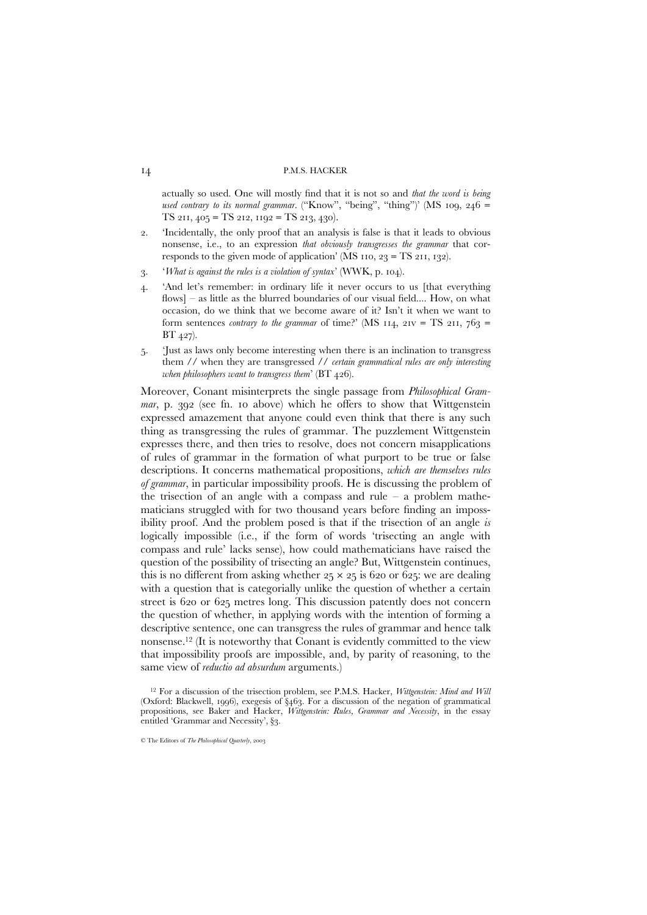actually so used*.* One will mostly find that it is not so and *that the word is being used contrary to its normal grammar.* ("Know", "being", "thing")' (MS 109, 246 =  $TS$  211,  $405 = TS$  212,  $1192 = TS$  213, 430).

- . 'Incidentally, the only proof that an analysis is false is that it leads to obvious nonsense, i.e., to an expression *that obviously transgresses the grammar* that corresponds to the given mode of application' (MS  $_{110}$ ,  $_{23} = TS 211$ ,  $_{132}$ ).
- . '*What is against the rules is a violation of syntax*' (WWK, p. ).
- . 'And let's remember: in ordinary life it never occurs to us [that everything flows] – as little as the blurred boundaries of our visual field.... How, on what occasion, do we think that we become aware of it? Isn't it when we want to form sentences *contrary* to the grammar of time?' (MS  $_{114}$ ,  $_{21V}$  = TS  $_{211}$ ,  $_{763}$  =  $BT 427$ ).
- . 'Just as laws only become interesting when there is an inclination to transgress them // when they are transgressed // *certain grammatical rules are only interesting when philosophers want to transgress them*<sup> $\prime$ </sup> ( $BT$ <sub>42</sub>6).

Moreover, Conant misinterprets the single passage from *Philosophical Grammar*, p.  $392$  (see fn. 10 above) which he offers to show that Wittgenstein expressed amazement that anyone could even think that there is any such thing as transgressing the rules of grammar. The puzzlement Wittgenstein expresses there, and then tries to resolve, does not concern misapplications of rules of grammar in the formation of what purport to be true or false descriptions. It concerns mathematical propositions, *which are themselves rules of grammar*, in particular impossibility proofs. He is discussing the problem of the trisection of an angle with a compass and rule – a problem mathematicians struggled with for two thousand years before finding an impossibility proof. And the problem posed is that if the trisection of an angle *is* logically impossible (i.e., if the form of words 'trisecting an angle with compass and rule' lacks sense), how could mathematicians have raised the question of the possibility of trisecting an angle? But, Wittgenstein continues, this is no different from asking whether  $25 \times 25$  is 620 or 625: we are dealing with a question that is categorially unlike the question of whether a certain street is  $620$  or  $625$  metres long. This discussion patently does not concern the question of whether, in applying words with the intention of forming a descriptive sentence, one can transgress the rules of grammar and hence talk nonsense. <sup>12</sup> (It is noteworthy that Conant is evidently committed to the view that impossibility proofs are impossible, and, by parity of reasoning, to the same view of *reductio ad absurdum* arguments.)

<sup>12</sup> For a discussion of the trisection problem, see P.M.S. Hacker, *Wittgenstein: Mind and Will* (Oxford: Blackwell, 1996), exegesis of  $\S463$ . For a discussion of the negation of grammatical propositions, see Baker and Hacker, *Wittgenstein: Rules, Grammar and Necessity*, in the essay entitled 'Grammar and Necessity', §3.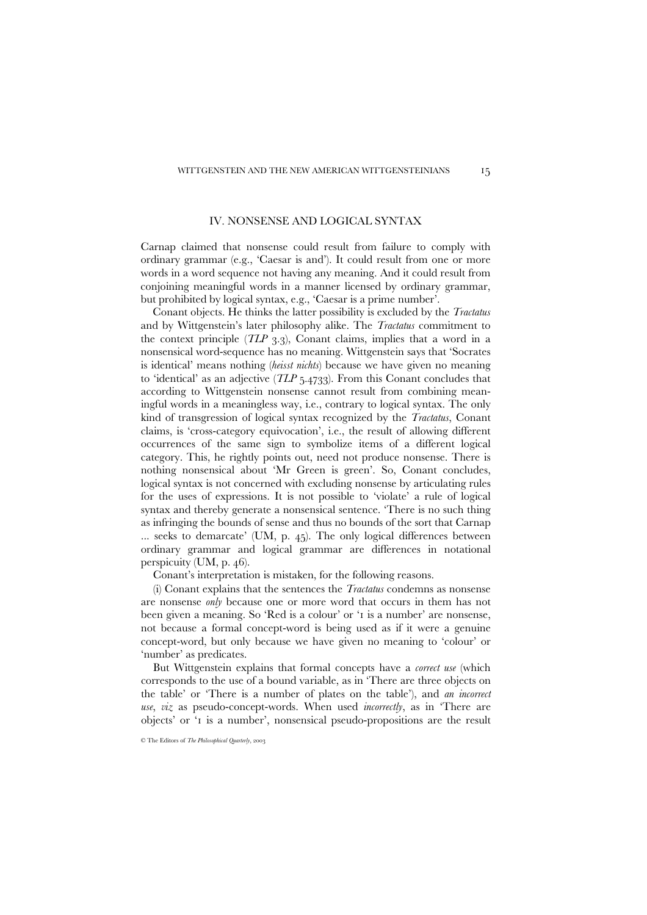# IV. NONSENSE AND LOGICAL SYNTAX

Carnap claimed that nonsense could result from failure to comply with ordinary grammar (e.g., 'Caesar is and'). It could result from one or more words in a word sequence not having any meaning. And it could result from conjoining meaningful words in a manner licensed by ordinary grammar, but prohibited by logical syntax, e.g., 'Caesar is a prime number'.

Conant objects. He thinks the latter possibility is excluded by the *Tractatus* and by Wittgenstein's later philosophy alike. The *Tractatus* commitment to the context principle  $(TLP_{3,3})$ , Conant claims, implies that a word in a nonsensical word-sequence has no meaning. Wittgenstein says that 'Socrates is identical' means nothing (*heisst nichts*) because we have given no meaning to 'identical' as an adjective  $(TLP_{5.4733})$ . From this Conant concludes that according to Wittgenstein nonsense cannot result from combining meaningful words in a meaningless way, i.e., contrary to logical syntax. The only kind of transgression of logical syntax recognized by the *Tractatus*, Conant claims, is 'cross-category equivocation', i.e., the result of allowing different occurrences of the same sign to symbolize items of a different logical category. This, he rightly points out, need not produce nonsense. There is nothing nonsensical about 'Mr Green is green'. So, Conant concludes, logical syntax is not concerned with excluding nonsense by articulating rules for the uses of expressions. It is not possible to 'violate' a rule of logical syntax and thereby generate a nonsensical sentence. 'There is no such thing as infringing the bounds of sense and thus no bounds of the sort that Carnap  $\ldots$  seeks to demarcate' (UM, p. 45). The only logical differences between ordinary grammar and logical grammar are differences in notational perspicuity  $(UM, p. 46)$ .

Conant's interpretation is mistaken, for the following reasons.

(i) Conant explains that the sentences the *Tractatus* condemns as nonsense are nonsense *only* because one or more word that occurs in them has not been given a meaning. So 'Red is a colour' or '<sub>I</sub> is a number' are nonsense, not because a formal concept-word is being used as if it were a genuine concept-word, but only because we have given no meaning to 'colour' or 'number' as predicates.

But Wittgenstein explains that formal concepts have a *correct use* (which corresponds to the use of a bound variable, as in 'There are three objects on the table' or 'There is a number of plates on the table'), and *an incorrect use*, *viz* as pseudo-concept-words. When used *incorrectly*, as in 'There are objects' or '<sub>I</sub> is a number', nonsensical pseudo-propositions are the result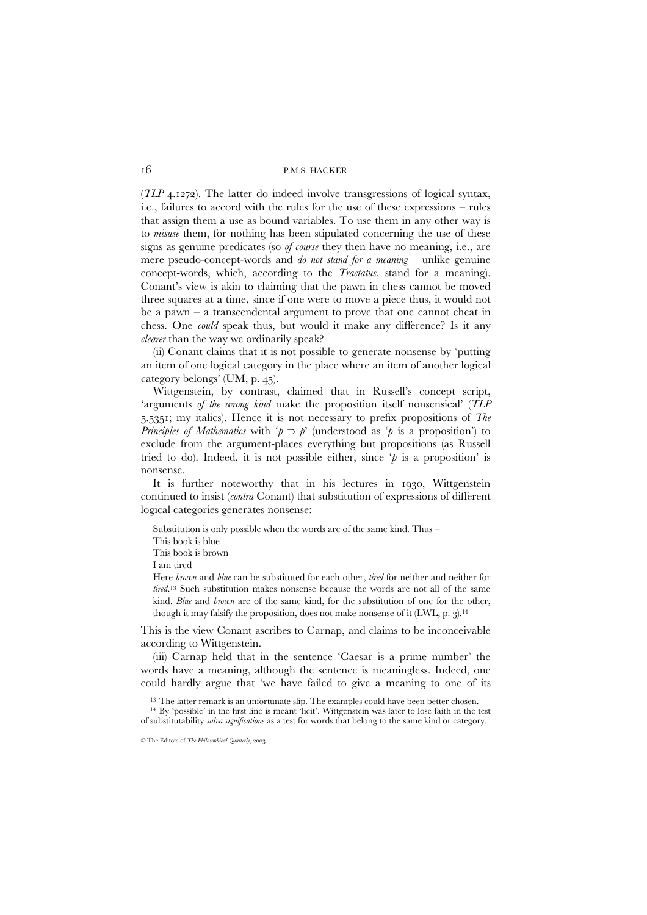$(TLP_{4.1272})$ . The latter do indeed involve transgressions of logical syntax, i.e., failures to accord with the rules for the use of these expressions – rules that assign them a use as bound variables. To use them in any other way is to *misuse* them, for nothing has been stipulated concerning the use of these signs as genuine predicates (so *of course* they then have no meaning, i.e., are mere pseudo-concept-words and *do not stand for a meaning* – unlike genuine concept-words, which, according to the *Tractatus*, stand for a meaning). Conant's view is akin to claiming that the pawn in chess cannot be moved three squares at a time, since if one were to move a piece thus, it would not be a pawn – a transcendental argument to prove that one cannot cheat in chess. One *could* speak thus, but would it make any difference? Is it any *clearer* than the way we ordinarily speak?

(ii) Conant claims that it is not possible to generate nonsense by 'putting an item of one logical category in the place where an item of another logical category belongs' (UM, p. 45).

Wittgenstein, by contrast, claimed that in Russell's concept script, 'arguments *of the wrong kind* make the proposition itself nonsensical' (*TLP* .; my italics). Hence it is not necessary to prefix propositions of *The Principles of Mathematics* with ' $p \supset p$ ' (understood as '*p* is a proposition') to exclude from the argument-places everything but propositions (as Russell tried to do). Indeed, it is not possible either, since '*p* is a proposition' is nonsense.

It is further noteworthy that in his lectures in 1930, Wittgenstein continued to insist (*contra* Conant) that substitution of expressions of different logical categories generates nonsense:

Substitution is only possible when the words are of the same kind. Thus –

This book is blue

This book is brown

I am tired

Here *brown* and *blue* can be substituted for each other, *tired* for neither and neither for *tired*.13 Such substitution makes nonsense because the words are not all of the same kind. *Blue* and *brown* are of the same kind, for the substitution of one for the other, though it may falsify the proposition, does not make nonsense of it  $(LWL, p. 3).$ <sup>14</sup>

This is the view Conant ascribes to Carnap, and claims to be inconceivable according to Wittgenstein.

(iii) Carnap held that in the sentence 'Caesar is a prime number' the words have a meaning, although the sentence is meaningless. Indeed, one could hardly argue that 'we have failed to give a meaning to one of its

<sup>13</sup> The latter remark is an unfortunate slip. The examples could have been better chosen.

<sup>14</sup> By 'possible' in the first line is meant 'licit'. Wittgenstein was later to lose faith in the test of substitutability *salva significatione* as a test for words that belong to the same kind or category.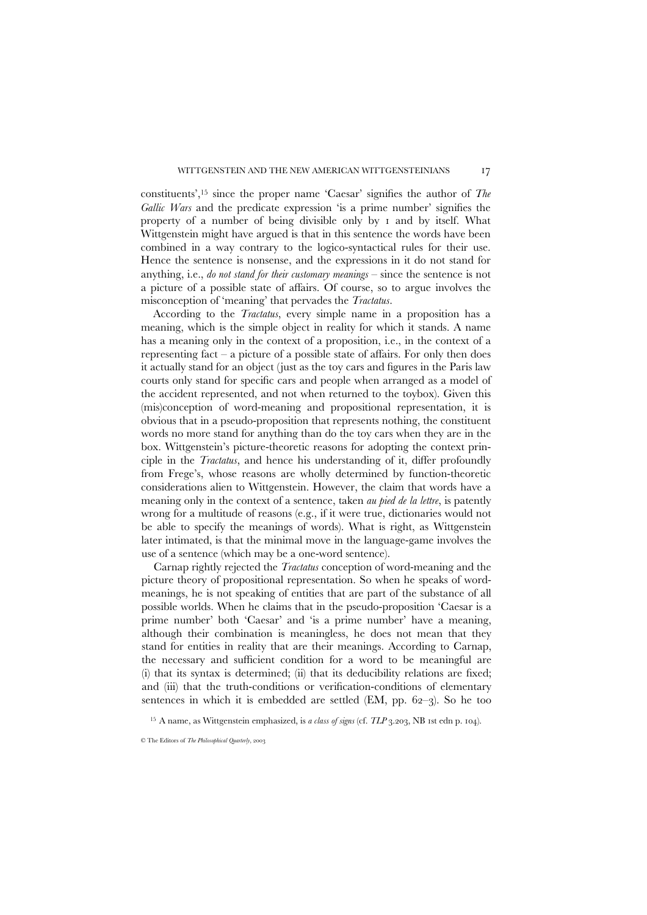constituents',15 since the proper name 'Caesar' signifies the author of *The Gallic Wars* and the predicate expression 'is a prime number' signifies the property of a number of being divisible only by I and by itself. What Wittgenstein might have argued is that in this sentence the words have been combined in a way contrary to the logico-syntactical rules for their use. Hence the sentence is nonsense, and the expressions in it do not stand for anything, i.e., *do not stand for their customary meanings* – since the sentence is not a picture of a possible state of affairs. Of course, so to argue involves the misconception of 'meaning' that pervades the *Tractatus*.

According to the *Tractatus*, every simple name in a proposition has a meaning, which is the simple object in reality for which it stands. A name has a meaning only in the context of a proposition, i.e., in the context of a representing fact  $-$  a picture of a possible state of affairs. For only then does it actually stand for an object (just as the toy cars and figures in the Paris law courts only stand for specific cars and people when arranged as a model of the accident represented, and not when returned to the toybox). Given this (mis)conception of word-meaning and propositional representation, it is obvious that in a pseudo-proposition that represents nothing, the constituent words no more stand for anything than do the toy cars when they are in the box. Wittgenstein's picture-theoretic reasons for adopting the context principle in the *Tractatus*, and hence his understanding of it, differ profoundly from Frege's, whose reasons are wholly determined by function-theoretic considerations alien to Wittgenstein. However, the claim that words have a meaning only in the context of a sentence, taken *au pied de la lettre*, is patently wrong for a multitude of reasons (e.g., if it were true, dictionaries would not be able to specify the meanings of words). What is right, as Wittgenstein later intimated, is that the minimal move in the language-game involves the use of a sentence (which may be a one-word sentence).

Carnap rightly rejected the *Tractatus* conception of word-meaning and the picture theory of propositional representation. So when he speaks of wordmeanings, he is not speaking of entities that are part of the substance of all possible worlds. When he claims that in the pseudo-proposition 'Caesar is a prime number' both 'Caesar' and 'is a prime number' have a meaning, although their combination is meaningless, he does not mean that they stand for entities in reality that are their meanings. According to Carnap, the necessary and sufficient condition for a word to be meaningful are (i) that its syntax is determined; (ii) that its deducibility relations are fixed; and (iii) that the truth-conditions or verification-conditions of elementary sentences in which it is embedded are settled  $(EM, pp. 62–3)$ . So he too

<sup>15</sup> A name, as Wittgenstein emphasized, is *a class of signs* (cf.  $TLP$  3.203, NB ist edn p. 104).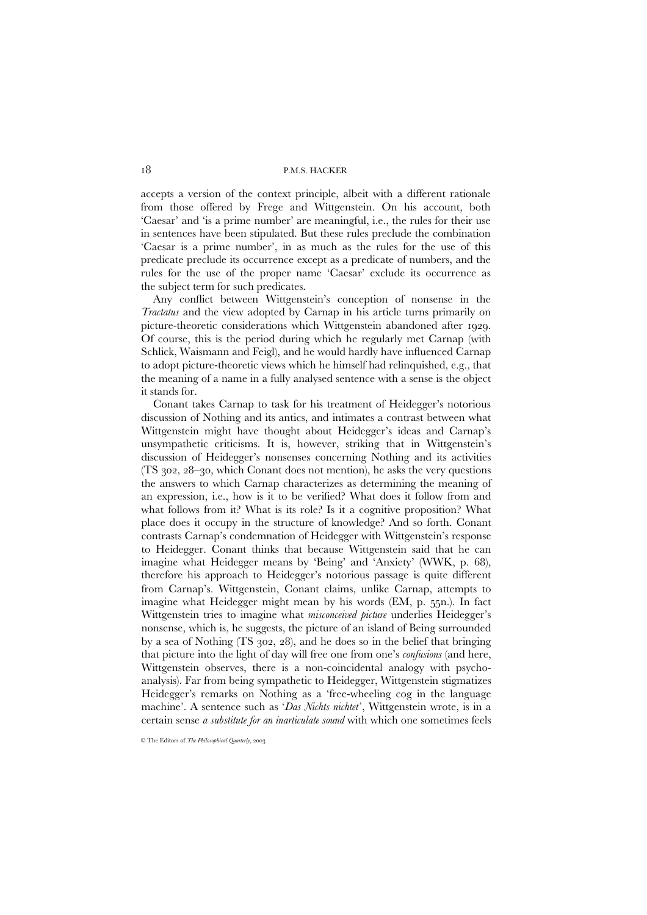accepts a version of the context principle, albeit with a different rationale from those offered by Frege and Wittgenstein. On his account, both 'Caesar' and 'is a prime number' are meaningful, i.e., the rules for their use in sentences have been stipulated. But these rules preclude the combination 'Caesar is a prime number', in as much as the rules for the use of this predicate preclude its occurrence except as a predicate of numbers, and the rules for the use of the proper name 'Caesar' exclude its occurrence as the subject term for such predicates.

Any conflict between Wittgenstein's conception of nonsense in the *Tractatus* and the view adopted by Carnap in his article turns primarily on picture-theoretic considerations which Wittgenstein abandoned after 1929. Of course, this is the period during which he regularly met Carnap (with Schlick, Waismann and Feigl), and he would hardly have influenced Carnap to adopt picture-theoretic views which he himself had relinquished, e.g., that the meaning of a name in a fully analysed sentence with a sense is the object it stands for.

Conant takes Carnap to task for his treatment of Heidegger's notorious discussion of Nothing and its antics, and intimates a contrast between what Wittgenstein might have thought about Heidegger's ideas and Carnap's unsympathetic criticisms. It is, however, striking that in Wittgenstein's discussion of Heidegger's nonsenses concerning Nothing and its activities  $(TS_302, 28–30,$  which Conant does not mention), he asks the very questions the answers to which Carnap characterizes as determining the meaning of an expression, i.e., how is it to be verified? What does it follow from and what follows from it? What is its role? Is it a cognitive proposition? What place does it occupy in the structure of knowledge? And so forth. Conant contrasts Carnap's condemnation of Heidegger with Wittgenstein's response to Heidegger. Conant thinks that because Wittgenstein said that he can imagine what Heidegger means by 'Being' and 'Anxiety' (WWK, p. 68), therefore his approach to Heidegger's notorious passage is quite different from Carnap's. Wittgenstein, Conant claims, unlike Carnap, attempts to imagine what Heidegger might mean by his words (EM, p. 55n.). In fact Wittgenstein tries to imagine what *misconceived picture* underlies Heidegger's nonsense, which is, he suggests, the picture of an island of Being surrounded by a sea of Nothing  $(TS_302, 28)$ , and he does so in the belief that bringing that picture into the light of day will free one from one's *confusions* (and here, Wittgenstein observes, there is a non-coincidental analogy with psychoanalysis). Far from being sympathetic to Heidegger, Wittgenstein stigmatizes Heidegger's remarks on Nothing as a 'free-wheeling cog in the language machine'. A sentence such as '*Das Nichts nichtet*', Wittgenstein wrote, is in a certain sense *a substitute for an inarticulate sound* with which one sometimes feels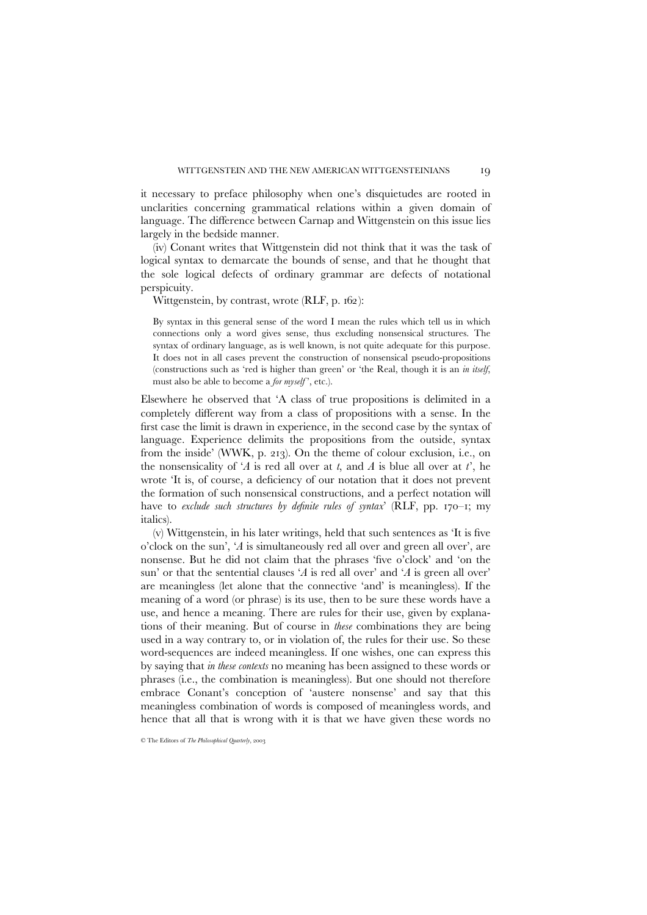it necessary to preface philosophy when one's disquietudes are rooted in unclarities concerning grammatical relations within a given domain of language. The difference between Carnap and Wittgenstein on this issue lies largely in the bedside manner.

(iv) Conant writes that Wittgenstein did not think that it was the task of logical syntax to demarcate the bounds of sense, and that he thought that the sole logical defects of ordinary grammar are defects of notational perspicuity.

Wittgenstein, by contrast, wrote  $(RLF, p. 162)$ :

By syntax in this general sense of the word I mean the rules which tell us in which connections only a word gives sense, thus excluding nonsensical structures. The syntax of ordinary language, as is well known, is not quite adequate for this purpose. It does not in all cases prevent the construction of nonsensical pseudo-propositions (constructions such as 'red is higher than green' or 'the Real, though it is an *in itself*, must also be able to become a *for myself*', etc.).

Elsewhere he observed that 'A class of true propositions is delimited in a completely different way from a class of propositions with a sense. In the first case the limit is drawn in experience, in the second case by the syntax of language. Experience delimits the propositions from the outside, syntax from the inside' (WWK, p. 213). On the theme of colour exclusion, i.e., on the nonsensicality of  $\hat{A}$  is red all over at *t*, and *A* is blue all over at *t*', he wrote 'It is, of course, a deficiency of our notation that it does not prevent the formation of such nonsensical constructions, and a perfect notation will have to *exclude such structures by definite rules of syntax*<sup>'</sup> (RLF, pp. 170–1; my italics).

(v) Wittgenstein, in his later writings, held that such sentences as 'It is five o'clock on the sun', '*A* is simultaneously red all over and green all over', are nonsense. But he did not claim that the phrases 'five o'clock' and 'on the sun' or that the sentential clauses '*A* is red all over' and '*A* is green all over' are meaningless (let alone that the connective 'and' is meaningless). If the meaning of a word (or phrase) is its use, then to be sure these words have a use, and hence a meaning. There are rules for their use, given by explanations of their meaning. But of course in *these* combinations they are being used in a way contrary to, or in violation of, the rules for their use. So these word-sequences are indeed meaningless. If one wishes, one can express this by saying that *in these contexts* no meaning has been assigned to these words or phrases (i.e., the combination is meaningless). But one should not therefore embrace Conant's conception of 'austere nonsense' and say that this meaningless combination of words is composed of meaningless words, and hence that all that is wrong with it is that we have given these words no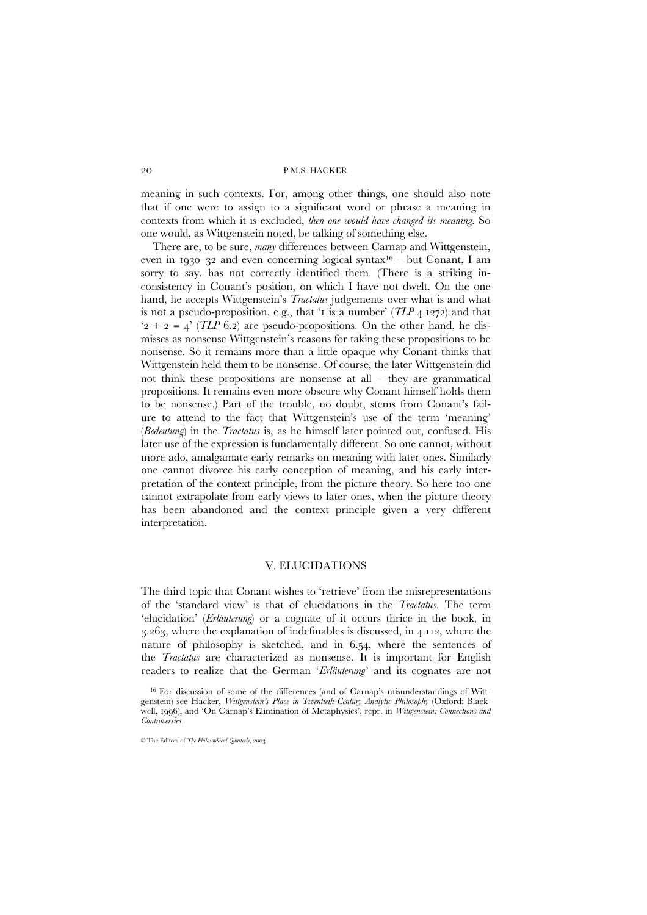meaning in such contexts. For, among other things, one should also note that if one were to assign to a significant word or phrase a meaning in contexts from which it is excluded, *then one would have changed its meaning*. So one would, as Wittgenstein noted, be talking of something else.

There are, to be sure, *many* differences between Carnap and Wittgenstein, even in 1930–32 and even concerning logical syntax<sup>16</sup> – but Conant, I am sorry to say, has not correctly identified them. (There is a striking inconsistency in Conant's position, on which I have not dwelt. On the one hand, he accepts Wittgenstein's *Tractatus* judgements over what is and what is not a pseudo-proposition, e.g., that ' $\bar{1}$  is a number' (*TLP* 4.1272) and that  $\mathbf{r}_2 + \mathbf{r}_3 = 4'$  (*TLP* 6.2) are pseudo-propositions. On the other hand, he dismisses as nonsense Wittgenstein's reasons for taking these propositions to be nonsense. So it remains more than a little opaque why Conant thinks that Wittgenstein held them to be nonsense. Of course, the later Wittgenstein did not think these propositions are nonsense at all – they are grammatical propositions. It remains even more obscure why Conant himself holds them to be nonsense.) Part of the trouble, no doubt, stems from Conant's failure to attend to the fact that Wittgenstein's use of the term 'meaning' (*Bedeutung*) in the *Tractatus* is, as he himself later pointed out, confused. His later use of the expression is fundamentally different. So one cannot, without more ado, amalgamate early remarks on meaning with later ones. Similarly one cannot divorce his early conception of meaning, and his early interpretation of the context principle, from the picture theory. So here too one cannot extrapolate from early views to later ones, when the picture theory has been abandoned and the context principle given a very different interpretation.

## V. ELUCIDATIONS

The third topic that Conant wishes to 'retrieve' from the misrepresentations of the 'standard view' is that of elucidations in the *Tractatus*. The term 'elucidation' (*Erläuterung*) or a cognate of it occurs thrice in the book, in  $3.263$ , where the explanation of indefinables is discussed, in  $4.112$ , where the nature of philosophy is sketched, and in  $6.54$ , where the sentences of the *Tractatus* are characterized as nonsense. It is important for English readers to realize that the German '*Erläuterung*' and its cognates are not

<sup>16</sup> For discussion of some of the differences (and of Carnap's misunderstandings of Wittgenstein) see Hacker, *Wittgenstein's Place in Twentieth-Century Analytic Philosophy* (Oxford: Blackwell, ), and 'On Carnap's Elimination of Metaphysics', repr. in *Wittgenstein: Connections and Controversies*.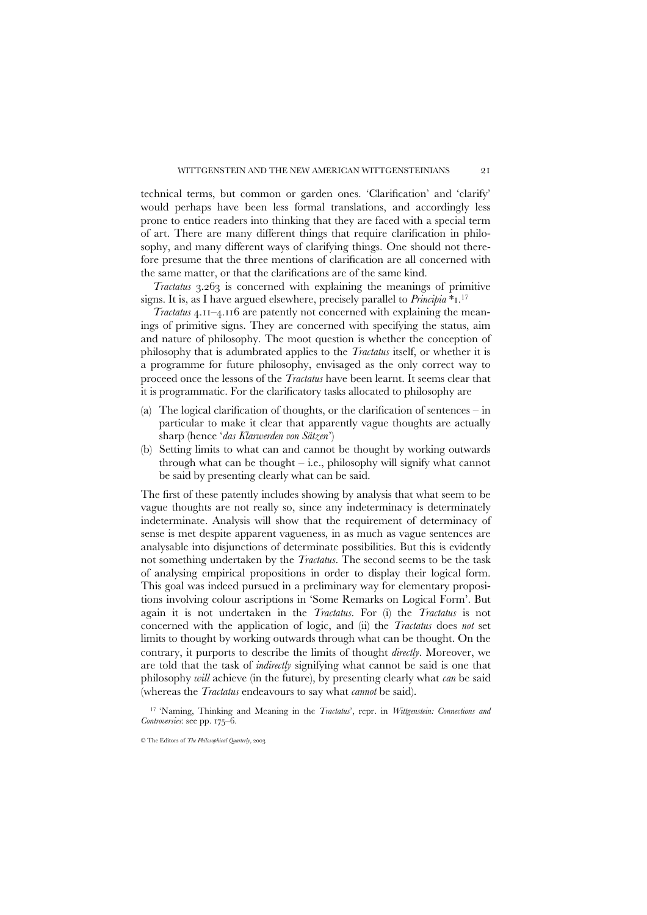technical terms, but common or garden ones. 'Clarification' and 'clarify' would perhaps have been less formal translations, and accordingly less prone to entice readers into thinking that they are faced with a special term of art. There are many different things that require clarification in philosophy, and many different ways of clarifying things. One should not therefore presume that the three mentions of clarification are all concerned with the same matter, or that the clarifications are of the same kind.

*Tractatus* 3.263 is concerned with explaining the meanings of primitive signs. It is, as I have argued elsewhere, precisely parallel to *Principia*<sup>\*</sup><sub>1</sub>.<sup>17</sup>

*Tractatus* 4.11–4.116 are patently not concerned with explaining the meanings of primitive signs. They are concerned with specifying the status, aim and nature of philosophy. The moot question is whether the conception of philosophy that is adumbrated applies to the *Tractatus* itself, or whether it is a programme for future philosophy, envisaged as the only correct way to proceed once the lessons of the *Tractatus* have been learnt. It seems clear that it is programmatic. For the clarificatory tasks allocated to philosophy are

- (a) The logical clarification of thoughts, or the clarification of sentences in particular to make it clear that apparently vague thoughts are actually sharp (hence '*das Klarwerden von Sätzen*')
- (b) Setting limits to what can and cannot be thought by working outwards through what can be thought  $-$  i.e., philosophy will signify what cannot be said by presenting clearly what can be said.

The first of these patently includes showing by analysis that what seem to be vague thoughts are not really so, since any indeterminacy is determinately indeterminate. Analysis will show that the requirement of determinacy of sense is met despite apparent vagueness, in as much as vague sentences are analysable into disjunctions of determinate possibilities. But this is evidently not something undertaken by the *Tractatus*. The second seems to be the task of analysing empirical propositions in order to display their logical form. This goal was indeed pursued in a preliminary way for elementary propositions involving colour ascriptions in 'Some Remarks on Logical Form'. But again it is not undertaken in the *Tractatus*. For (i) the *Tractatus* is not concerned with the application of logic, and (ii) the *Tractatus* does *not* set limits to thought by working outwards through what can be thought. On the contrary, it purports to describe the limits of thought *directly*. Moreover, we are told that the task of *indirectly* signifying what cannot be said is one that philosophy *will* achieve (in the future), by presenting clearly what *can* be said (whereas the *Tractatus* endeavours to say what *cannot* be said).

<sup>17</sup> 'Naming, Thinking and Meaning in the *Tractatus*', repr. in *Wittgenstein: Connections and Controversies*: see pp. 175–6.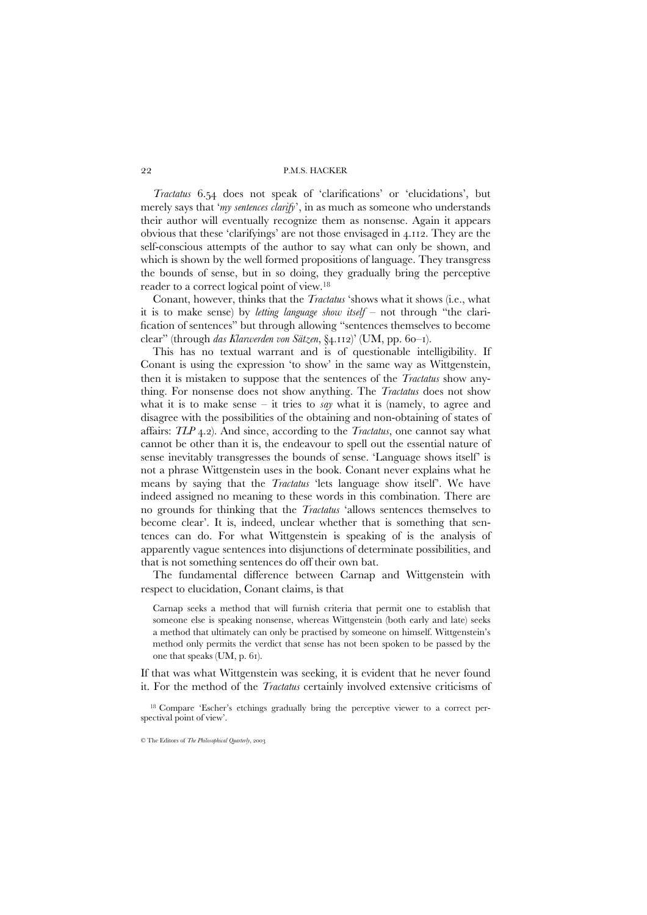Tractatus 6.54 does not speak of 'clarifications' or 'elucidations', but merely says that '*my sentences clarify*', in as much as someone who understands their author will eventually recognize them as nonsense. Again it appears obvious that these 'clarifyings' are not those envisaged in 4.112. They are the self-conscious attempts of the author to say what can only be shown, and which is shown by the well formed propositions of language. They transgress the bounds of sense, but in so doing, they gradually bring the perceptive reader to a correct logical point of view.18

Conant, however, thinks that the *Tractatus* 'shows what it shows (i.e., what it is to make sense) by *letting language show itself* – not through "the clarification of sentences" but through allowing "sentences themselves to become clear" (through *das Klarwerden von Sätzen*, §4.112)' (UM, pp. 60-1).

This has no textual warrant and is of questionable intelligibility. If Conant is using the expression 'to show' in the same way as Wittgenstein, then it is mistaken to suppose that the sentences of the *Tractatus* show anything. For nonsense does not show anything. The *Tractatus* does not show what it is to make sense – it tries to *say* what it is (namely, to agree and disagree with the possibilities of the obtaining and non-obtaining of states of affairs: *TLP* 4.2). And since, according to the *Tractatus*, one cannot say what cannot be other than it is, the endeavour to spell out the essential nature of sense inevitably transgresses the bounds of sense. 'Language shows itself' is not a phrase Wittgenstein uses in the book. Conant never explains what he means by saying that the *Tractatus* 'lets language show itself'. We have indeed assigned no meaning to these words in this combination. There are no grounds for thinking that the *Tractatus* 'allows sentences themselves to become clear'. It is, indeed, unclear whether that is something that sentences can do. For what Wittgenstein is speaking of is the analysis of apparently vague sentences into disjunctions of determinate possibilities, and that is not something sentences do off their own bat.

The fundamental difference between Carnap and Wittgenstein with respect to elucidation, Conant claims, is that

Carnap seeks a method that will furnish criteria that permit one to establish that someone else is speaking nonsense, whereas Wittgenstein (both early and late) seeks a method that ultimately can only be practised by someone on himself. Wittgenstein's method only permits the verdict that sense has not been spoken to be passed by the one that speaks  $(UM, p. 6)$ .

If that was what Wittgenstein was seeking, it is evident that he never found it. For the method of the *Tractatus* certainly involved extensive criticisms of

<sup>18</sup> Compare 'Escher's etchings gradually bring the perceptive viewer to a correct perspectival point of view'.